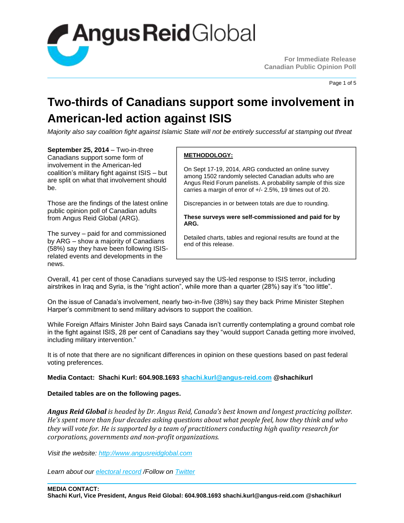

Page 1 of 5

## **Two-thirds of Canadians support some involvement in American-led action against ISIS**

*Majority also say coalition fight against Islamic State will not be entirely successful at stamping out threat*

**September 25, 2014** – Two-in-three Canadians support some form of involvement in the American-led coalition's military fight against ISIS – but are split on what that involvement should be.

Those are the findings of the latest online public opinion poll of Canadian adults from Angus Reid Global (ARG).

The survey – paid for and commissioned by ARG – show a majority of Canadians (58%) say they have been following ISISrelated events and developments in the news.

### **METHODOLOGY:**

On Sept 17-19, 2014, ARG conducted an online survey among 1502 randomly selected Canadian adults who are Angus Reid Forum panelists. A probability sample of this size carries a margin of error of +/- 2.5%, 19 times out of 20.

Discrepancies in or between totals are due to rounding.

**These surveys were self-commissioned and paid for by ARG.**

Detailed charts, tables and regional results are found at the end of this release.

Overall, 41 per cent of those Canadians surveyed say the US-led response to ISIS terror, including airstrikes in Iraq and Syria, is the "right action", while more than a quarter (28%) say it's "too little".

On the issue of Canada's involvement, nearly two-in-five (38%) say they back Prime Minister Stephen Harper's commitment to send military advisors to support the coalition.

While Foreign Affairs Minister John Baird says Canada isn't currently contemplating a ground combat role in the fight against ISIS, 28 per cent of Canadians say they "would support Canada getting more involved, including military intervention."

It is of note that there are no significant differences in opinion on these questions based on past federal voting preferences.

### **Media Contact: Shachi Kurl: 604.908.1693 [shachi.kurl@angus-reid.com](mailto:shachi.kurl@angus-reid.com) @shachikurl**

### **Detailed tables are on the following pages.**

*Angus Reid Global is headed by Dr. Angus Reid, Canada's best known and longest practicing pollster. He's spent more than four decades asking questions about what people feel, how they think and who they will vote for. He is supported by a team of practitioners conducting high quality research for corporations, governments and non-profit organizations.* 

*Visit the website: [http://www.angusreidglobal.com](http://www.angusreidglobal.com/)*

*Learn about our [electoral record](http://arpo.staging.wpengine.com/electoral-record/) /Follow on [Twitter](http://twitter.com/AngusReidGlobal)*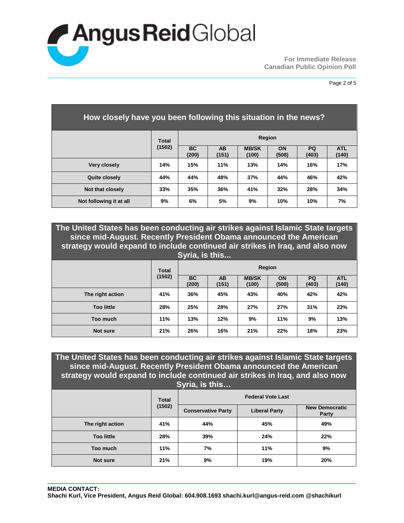

| How closely have you been following this situation in the news? |        |                    |                    |                       |                    |                    |                     |
|-----------------------------------------------------------------|--------|--------------------|--------------------|-----------------------|--------------------|--------------------|---------------------|
|                                                                 | Total  |                    | <b>Region</b>      |                       |                    |                    |                     |
|                                                                 | (1502) | <b>BC</b><br>(200) | <b>AB</b><br>(151) | <b>MB/SK</b><br>(100) | <b>ON</b><br>(508) | <b>PQ</b><br>(403) | <b>ATL</b><br>(140) |
| Very closely                                                    | 14%    | 15%                | 11%                | 13%                   | 14%                | 16%                | 17%                 |
| Quite closely                                                   | 44%    | 44%                | 48%                | 37%                   | 44%                | 46%                | 42%                 |
| Not that closely                                                | 33%    | 35%                | 36%                | 41%                   | 32%                | 28%                | 34%                 |
| Not following it at all                                         | 9%     | 6%                 | 5%                 | 9%                    | 10%                | 10%                | 7%                  |

**The United States has been conducting air strikes against Islamic State targets since mid-August. Recently President Obama announced the American strategy would expand to include continued air strikes in Iraq, and also now Syria, is this...**

|                   | <b>Total</b> |                    |                    | Region                |                    |             |                     |
|-------------------|--------------|--------------------|--------------------|-----------------------|--------------------|-------------|---------------------|
|                   | (1502)       | <b>BC</b><br>(200) | <b>AB</b><br>(151) | <b>MB/SK</b><br>(100) | <b>ON</b><br>(508) | PQ<br>(403) | <b>ATL</b><br>(140) |
| The right action  | 41%          | 36%                | 45%                | 43%                   | 40%                | 42%         | 42%                 |
| <b>Too little</b> | 28%          | 25%                | 28%                | 27%                   | 27%                | 31%         | 23%                 |
| Too much          | 11%          | 13%                | 12%                | 9%                    | 11%                | 9%          | 13%                 |
| <b>Not sure</b>   | 21%          | 26%                | 16%                | 21%                   | 22%                | 18%         | 23%                 |

**The United States has been conducting air strikes against Islamic State targets since mid-August. Recently President Obama announced the American strategy would expand to include continued air strikes in Iraq, and also now Syria, is this… Total (1502) Federal Vote Last Conservative Party Liberal Party New Democratic Party The right action 41% 44% 45% 49%**

| The right action  | 41% | 44% | 45% | 49% |
|-------------------|-----|-----|-----|-----|
| <b>Too little</b> | 28% | 39% | 24% | 22% |
| Too much          | 11% | 7%  | 11% | 9%  |
| Not sure          | 21% | 9%  | 19% | 20% |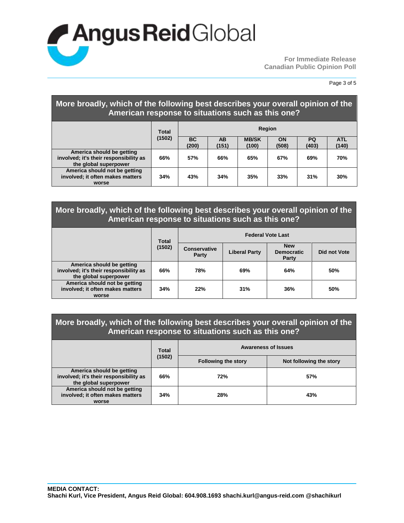

Page 3 of 5

| More broadly, which of the following best describes your overall opinion of the<br>American response to situations such as this one? |              |                    |                    |                       |             |                    |                     |
|--------------------------------------------------------------------------------------------------------------------------------------|--------------|--------------------|--------------------|-----------------------|-------------|--------------------|---------------------|
|                                                                                                                                      | <b>Total</b> | Region             |                    |                       |             |                    |                     |
|                                                                                                                                      | (1502)       | <b>BC</b><br>(200) | <b>AB</b><br>(151) | <b>MB/SK</b><br>(100) | ON<br>(508) | <b>PQ</b><br>(403) | <b>ATL</b><br>(140) |
| America should be getting<br>involved; it's their responsibility as<br>the global superpower                                         | 66%          | 57%                | 66%                | 65%                   | 67%         | 69%                | 70%                 |
| America should not be getting<br>involved; it often makes matters<br>worse                                                           | 34%          | 43%                | 34%                | 35%                   | 33%         | 31%                | 30%                 |

### **More broadly, which of the following best describes your overall opinion of the American response to situations such as this one?**

|                                                                                              | <b>Total</b> | <b>Federal Vote Last</b>     |                      |                                          |              |  |  |
|----------------------------------------------------------------------------------------------|--------------|------------------------------|----------------------|------------------------------------------|--------------|--|--|
|                                                                                              | (1502)       | <b>Conservative</b><br>Party | <b>Liberal Party</b> | <b>New</b><br><b>Democratic</b><br>Party | Did not Vote |  |  |
| America should be getting<br>involved; it's their responsibility as<br>the global superpower | 66%          | 78%                          | 69%                  | 64%                                      | 50%          |  |  |
| America should not be getting<br>involved; it often makes matters<br>worse                   | 34%          | 22%                          | 31%                  | 36%                                      | 50%          |  |  |

### **More broadly, which of the following best describes your overall opinion of the American response to situations such as this one?**

|                                                                                              | <b>Total</b> | <b>Awareness of Issues</b> |                         |  |  |
|----------------------------------------------------------------------------------------------|--------------|----------------------------|-------------------------|--|--|
|                                                                                              | (1502)       | <b>Following the story</b> | Not following the story |  |  |
| America should be getting<br>involved; it's their responsibility as<br>the global superpower | 66%          | 72%                        | 57%                     |  |  |
| America should not be getting<br>involved; it often makes matters<br>worse                   | 34%          | 28%                        | 43%                     |  |  |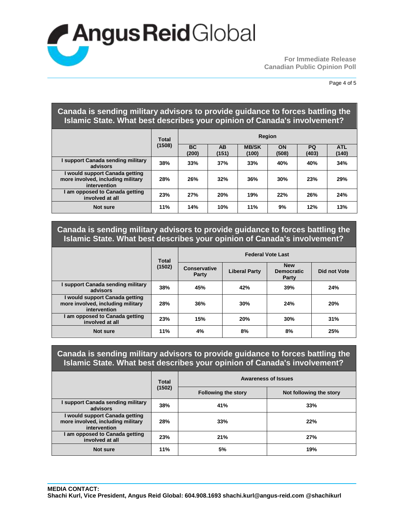# **Angus Reid** Global

**For Immediate Release Canadian Public Opinion Poll**

### **Canada is sending military advisors to provide guidance to forces battling the Islamic State. What best describes your opinion of Canada's involvement?**

|                                                                                     | <b>Total</b> | Region             |             |                       |             |                    |                     |
|-------------------------------------------------------------------------------------|--------------|--------------------|-------------|-----------------------|-------------|--------------------|---------------------|
|                                                                                     | (1508)       | <b>BC</b><br>(200) | AB<br>(151) | <b>MB/SK</b><br>(100) | ON<br>(508) | <b>PQ</b><br>(403) | <b>ATL</b><br>(140) |
| support Canada sending military<br>advisors                                         | 38%          | 33%                | 37%         | 33%                   | 40%         | 40%                | 34%                 |
| I would support Canada getting<br>more involved, including military<br>intervention | 28%          | 26%                | 32%         | 36%                   | 30%         | 23%                | 29%                 |
| am opposed to Canada getting<br>involved at all                                     | 23%          | 27%                | 20%         | 19%                   | 22%         | 26%                | 24%                 |
| Not sure                                                                            | 11%          | 14%                | 10%         | 11%                   | 9%          | 12%                | 13%                 |

### **Canada is sending military advisors to provide guidance to forces battling the Islamic State. What best describes your opinion of Canada's involvement?**

|                                                                                     | <b>Total</b> | <b>Federal Vote Last</b>     |                      |                                          |              |  |
|-------------------------------------------------------------------------------------|--------------|------------------------------|----------------------|------------------------------------------|--------------|--|
|                                                                                     | (1502)       | <b>Conservative</b><br>Party | <b>Liberal Party</b> | <b>New</b><br><b>Democratic</b><br>Party | Did not Vote |  |
| support Canada sending military<br>advisors                                         | 38%          | 45%                          | 42%                  | 39%                                      | 24%          |  |
| I would support Canada getting<br>more involved, including military<br>intervention | 28%          | 36%                          | 30%                  | 24%                                      | 20%          |  |
| I am opposed to Canada getting<br>involved at all                                   | 23%          | 15%                          | 20%                  | 30%                                      | 31%          |  |
| Not sure                                                                            | 11%          | 4%                           | 8%                   | 8%                                       | 25%          |  |

### **Canada is sending military advisors to provide guidance to forces battling the Islamic State. What best describes your opinion of Canada's involvement?**

|                                                                                     | <b>Total</b> | <b>Awareness of Issues</b> |                         |  |  |
|-------------------------------------------------------------------------------------|--------------|----------------------------|-------------------------|--|--|
|                                                                                     | (1502)       | <b>Following the story</b> | Not following the story |  |  |
| support Canada sending military<br>advisors                                         | 38%          | 41%                        | 33%                     |  |  |
| I would support Canada getting<br>more involved, including military<br>intervention | 28%          | 33%                        | 22%                     |  |  |
| am opposed to Canada getting<br>involved at all                                     | 23%          | 21%                        | 27%                     |  |  |
| Not sure                                                                            | 11%          | 5%                         | 19%                     |  |  |